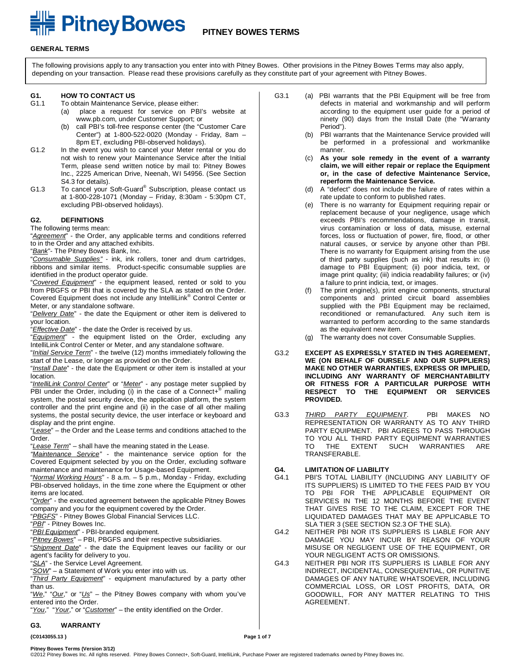# **FILE Pitney Bowes** PITNEY BOWES TERMS

#### **GENERAL TERMS**

The following provisions apply to any transaction you enter into with Pitney Bowes. Other provisions in the Pitney Bowes Terms may also apply, depending on your transaction. Please read these provisions carefully as they constitute part of your agreement with Pitney Bowes.

### **G1. HOW TO CONTACT US**

- To obtain Maintenance Service, please either:
	- (a) place a request for service on PBI's website at www.pb.com, under Customer Support; or
	- (b) call PBI's toll-free response center (the "Customer Care Center") at 1-800-522-0020 (Monday - Friday, 8am – 8pm ET, excluding PBI-observed holidays).
- G1.2 In the event you wish to cancel your Meter rental or you do not wish to renew your Maintenance Service after the Initial Term, please send written notice by mail to: Pitney Bowes Inc., 2225 American Drive, Neenah, WI 54956. (See Section S4.3 for details).
- G1.3 To cancel your Soft-Guard® Subscription, please contact us at 1-800-228-1071 (Monday – Friday, 8:30am - 5:30pm CT, excluding PBI-observed holidays).

#### **G2. DEFINITIONS**

The following terms mean:

"*Agreement*" - the Order, any applicable terms and conditions referred to in the Order and any attached exhibits.

"*Bank*"- The Pitney Bowes Bank, Inc.

"*Consumable Supplies"* - ink, ink rollers, toner and drum cartridges, ribbons and similar items. Product-specific consumable supplies are identified in the product operator guide.

"*Covered Equipment*" - the equipment leased, rented or sold to you from PBGFS or PBI that is covered by the SLA as stated on the Order. Covered Equipment does not include any IntelliLink® Control Center or Meter, or any standalone software.

"*Delivery Date*" - the date the Equipment or other item is delivered to your location.

"*Effective Date*" - the date the Order is received by us.

"*Equipment*" - the equipment listed on the Order, excluding any IntelliLink Control Center or Meter, and any standalone software.

"*Initial Service Term*" - the twelve (12) months immediately following the start of the Lease, or longer as provided on the Order.

"*Install Date*" - the date the Equipment or other item is installed at your location.

"*IntelliLink Control Center*" or "*Meter*" - any postage meter supplied by PBI under the Order, including (i) in the case of a Connect+<sup>®</sup> mailing system, the postal security device, the application platform, the system controller and the print engine and (ii) in the case of all other mailing systems, the postal security device, the user interface or keyboard and display and the print engine.

"*Lease*" – the Order and the Lease terms and conditions attached to the Order.

"*Lease Term*" – shall have the meaning stated in the Lease.

*"Maintenance Service"* - the maintenance service option for the Covered Equipment selected by you on the Order, excluding software maintenance and maintenance for Usage-based Equipment.

"*Normal Working Hours*" - 8 a.m. – 5 p.m., Monday - Friday, excluding PBI-observed holidays, in the time zone where the Equipment or other items are located.

"*Order*" - the executed agreement between the applicable Pitney Bowes company and you for the equipment covered by the Order.

"*PBGFS*" - Pitney Bowes Global Financial Services LLC.

"*PBI*" - Pitney Bowes Inc.

"*PBI Equipment*" - PBI-branded equipment.

"*Pitney Bowes*" – PBI, PBGFS and their respective subsidiaries.

"*Shipment Date*" - the date the Equipment leaves our facility or our agent's facility for delivery to you.

"*SLA*" - the Service Level Agreement.

"*SOW*" – a Statement of Work you enter into with us.

"*Third Party Equipment*" - equipment manufactured by a party other than us.

"*We*," "*Our*," or "*Us*" – the Pitney Bowes company with whom you've entered into the Order.

"*You*," "*Your*," or "*Customer*" – the entity identified on the Order.

### **G3. WARRANTY**

**{C0143055.13 } Page 1 of 7**

- G3.1 (a) PBI warrants that the PBI Equipment will be free from defects in material and workmanship and will perform according to the equipment user guide for a period of ninety (90) days from the Install Date (the "Warranty Period").
	- (b) PBI warrants that the Maintenance Service provided will be performed in a professional and workmanlike manner.
	- (c) **As your sole remedy in the event of a warranty claim, we will either repair or replace the Equipment or, in the case of defective Maintenance Service, reperform the Maintenance Service.**
	- (d) A "defect" does not include the failure of rates within a rate update to conform to published rates.
	- (e) There is no warranty for Equipment requiring repair or replacement because of your negligence, usage which exceeds PBI's recommendations, damage in transit, virus contamination or loss of data, misuse, external forces, loss or fluctuation of power, fire, flood, or other natural causes, or service by anyone other than PBI. There is no warranty for Equipment arising from the use of third party supplies (such as ink) that results in: (i) damage to PBI Equipment; (ii) poor indicia, text, or image print quality; (iii) indicia readability failures; or (iv) a failure to print indicia, text, or images.
	- (f) The print engine(s), print engine components, structural components and printed circuit board assemblies supplied with the PBI Equipment may be reclaimed, reconditioned or remanufactured. Any such item is warranted to perform according to the same standards as the equivalent new item.
	- (g) The warranty does not cover Consumable Supplies.
- G3.2 **EXCEPT AS EXPRESSLY STATED IN THIS AGREEMENT, WE (ON BEHALF OF OURSELF AND OUR SUPPLIERS) MAKE NO OTHER WARRANTIES, EXPRESS OR IMPLIED, INCLUDING ANY WARRANTY OF MERCHANTABILITY OR FITNESS FOR A PARTICULAR PURPOSE WITH RESPECT TO THE EQUIPMENT OR SERVICES PROVIDED.**
- G3.3 *THIRD PARTY EQUIPMENT*. PBI MAKES NO REPRESENTATION OR WARRANTY AS TO ANY THIRD PARTY EQUIPMENT. PBI AGREES TO PASS THROUGH TO YOU ALL THIRD PARTY EQUIPMENT WARRANTIES TO THE EXTENT SUCH WARRANTIES ARE TRANSFERABLE.

### **G4. LIMITATION OF LIABILITY**

- PBI'S TOTAL LIABILITY (INCLUDING ANY LIABILITY OF ITS SUPPLIERS) IS LIMITED TO THE FEES PAID BY YOU TO PBI FOR THE APPLICABLE EQUIPMENT OR SERVICES IN THE 12 MONTHS BEFORE THE EVENT THAT GIVES RISE TO THE CLAIM, EXCEPT FOR THE LIQUIDATED DAMAGES THAT MAY BE APPLICABLE TO SLA TIER 3 (SEE SECTION S2.3 OF THE SLA).
- G4.2 NEITHER PBI NOR ITS SUPPLIERS IS LIABLE FOR ANY DAMAGE YOU MAY INCUR BY REASON OF YOUR MISUSE OR NEGLIGENT USE OF THE EQUIPMENT, OR YOUR NEGLIGENT ACTS OR OMISSIONS.
- G4.3 NEITHER PBI NOR ITS SUPPLIERS IS LIABLE FOR ANY INDIRECT, INCIDENTAL, CONSEQUENTIAL, OR PUNITIVE DAMAGES OF ANY NATURE WHATSOEVER, INCLUDING COMMERCIAL LOSS, OR LOST PROFITS, DATA, OR GOODWILL, FOR ANY MATTER RELATING TO THIS AGREEMENT.

**Pitney Bowes Terms (Version 3/12)**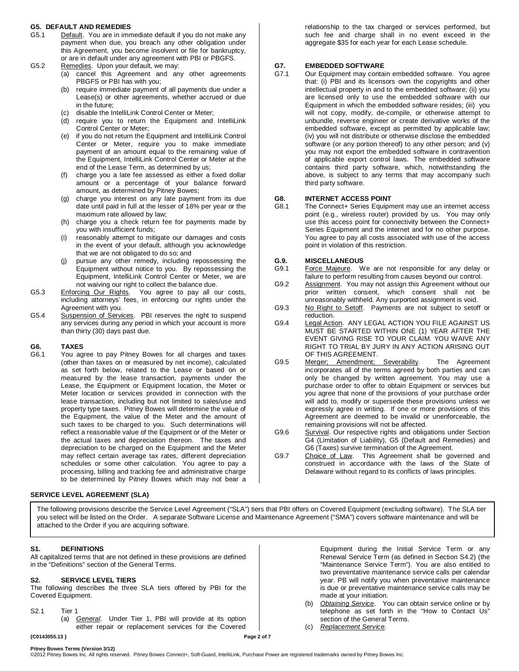### **G5. DEFAULT AND REMEDIES**

- G5.1 Default. You are in immediate default if you do not make any payment when due, you breach any other obligation under this Agreement, you become insolvent or file for bankruptcy, or are in default under any agreement with PBI or PBGFS.
- G5.2 Remedies. Upon your default, we may:
	- (a) cancel this Agreement and any other agreements PBGFS or PBI has with you;
	- (b) require immediate payment of all payments due under a Lease(s) or other agreements, whether accrued or due in the future;
	- (c) disable the IntelliLink Control Center or Meter;
	- (d) require you to return the Equipment and IntelliLink Control Center or Meter;
	- (e) if you do not return the Equipment and IntelliLink Control Center or Meter, require you to make immediate payment of an amount equal to the remaining value of the Equipment, IntelliLink Control Center or Meter at the end of the Lease Term, as determined by us;
	- (f) charge you a late fee assessed as either a fixed dollar amount or a percentage of your balance forward amount, as determined by Pitney Bowes;
	- (g) charge you interest on any late payment from its due date until paid in full at the lesser of 18% per year or the maximum rate allowed by law;
	- (h) charge you a check return fee for payments made by you with insufficient funds;
	- (i) reasonably attempt to mitigate our damages and costs in the event of your default, although you acknowledge that we are not obligated to do so; and
	- (j) pursue any other remedy, including repossessing the Equipment without notice to you. By repossessing the Equipment, IntelliLink Control Center or Meter, we are not waiving our right to collect the balance due.
- G5.3 Enforcing Our Rights. You agree to pay all our costs, including attorneys' fees, in enforcing our rights under the Agreement with you.
- G5.4 Suspension of Services. PBI reserves the right to suspend any services during any period in which your account is more than thirty (30) days past due.

#### **G6. TAXES**

G6.1 You agree to pay Pitney Bowes for all charges and taxes (other than taxes on or measured by net income), calculated as set forth below, related to the Lease or based on or measured by the lease transaction, payments under the Lease, the Equipment or Equipment location, the Meter or Meter location or services provided in connection with the lease transaction, including but not limited to sales/use and property type taxes. Pitney Bowes will determine the value of the Equipment, the value of the Meter and the amount of such taxes to be charged to you. Such determinations will reflect a reasonable value of the Equipment or of the Meter or the actual taxes and depreciation thereon. The taxes and depreciation to be charged on the Equipment and the Meter may reflect certain average tax rates, different depreciation schedules or some other calculation. You agree to pay a processing, billing and tracking fee and administrative charge to be determined by Pitney Bowes which may not bear a

#### **SERVICE LEVEL AGREEMENT (SLA)**

relationship to the tax charged or services performed, but such fee and charge shall in no event exceed in the aggregate \$35 for each year for each Lease schedule.

### **G7. EMBEDDED SOFTWARE**

Our Equipment may contain embedded software. You agree that: (i) PBI and its licensors own the copyrights and other intellectual property in and to the embedded software; (ii) you are licensed only to use the embedded software with our Equipment in which the embedded software resides; (iii) you will not copy, modify, de-compile, or otherwise attempt to unbundle, reverse engineer or create derivative works of the embedded software, except as permitted by applicable law; (iv) you will not distribute or otherwise disclose the embedded software (or any portion thereof) to any other person; and (v) you may not export the embedded software in contravention of applicable export control laws. The embedded software contains third party software, which, notwithstanding the above, is subject to any terms that may accompany such third party software.

### **G8. INTERNET ACCESS POINT**

The Connect+ Series Equipment may use an internet access point (e.g., wireless router) provided by us. You may only use this access point for connectivity between the Connect+ Series Equipment and the internet and for no other purpose. You agree to pay all costs associated with use of the access point in violation of this restriction.

#### **G.9. MISCELLANEOUS**

- G9.1 Force Majeure. We are not responsible for any delay or failure to perform resulting from causes beyond our control.
- G9.2 Assignment. You may not assign this Agreement without our prior written consent, which consent shall not be unreasonably withheld. Any purported assignment is void.
- G9.3 No Right to Setoff. Payments are not subject to setoff or reduction.
- G9.4 Legal Action. ANY LEGAL ACTION YOU FILE AGAINST US MUST BE STARTED WITHIN ONE (1) YEAR AFTER THE EVENT GIVING RISE TO YOUR CLAIM. YOU WAIVE ANY RIGHT TO TRIAL BY JURY IN ANY ACTION ARISING OUT OF THIS AGREEMENT.
- G9.5 Merger; Amendment; Severability. The Agreement incorporates all of the terms agreed by both parties and can only be changed by written agreement. You may use a purchase order to offer to obtain Equipment or services but you agree that none of the provisions of your purchase order will add to, modify or supersede these provisions unless we expressly agree in writing. If one or more provisions of this Agreement are deemed to be invalid or unenforceable, the remaining provisions will not be affected.
- G9.6 Survival. Our respective rights and obligations under Section G4 (Limitation of Liability), G5 (Default and Remedies) and G6 (Taxes) survive termination of the Agreement.
- G9.7 Choice of Law. This Agreement shall be governed and construed in accordance with the laws of the State of Delaware without regard to its conflicts of laws principles.

The following provisions describe the Service Level Agreement ("SLA") tiers that PBI offers on Covered Equipment (excluding software). The SLA tier you select will be listed on the Order. A separate Software License and Maintenance Agreement ("SMA") covers software maintenance and will be attached to the Order if you are acquiring software.

### **S1. DEFINITIONS**

All capitalized terms that are not defined in these provisions are defined in the "Definitions" section of the General Terms.

#### **S2. SERVICE LEVEL TIERS**

The following describes the three SLA tiers offered by PBI for the Covered Equipment.

- S2.1 Tier 1
	- (a) *General*. Under Tier 1, PBI will provide at its option either repair or replacement services for the Covered

**{C0143055.13 } Page 2 of 7**

Equipment during the Initial Service Term or any Renewal Service Term (as defined in Section S4.2) (the "Maintenance Service Term"). You are also entitled to two preventative maintenance service calls per calendar year. PB will notify you when preventative maintenance is due or preventative maintenance service calls may be made at your initiation.

- (b) *Obtaining Service*. You can obtain service online or by telephone as set forth in the "How to Contact Us" section of the General Terms.
- (c) *Replacement Service*.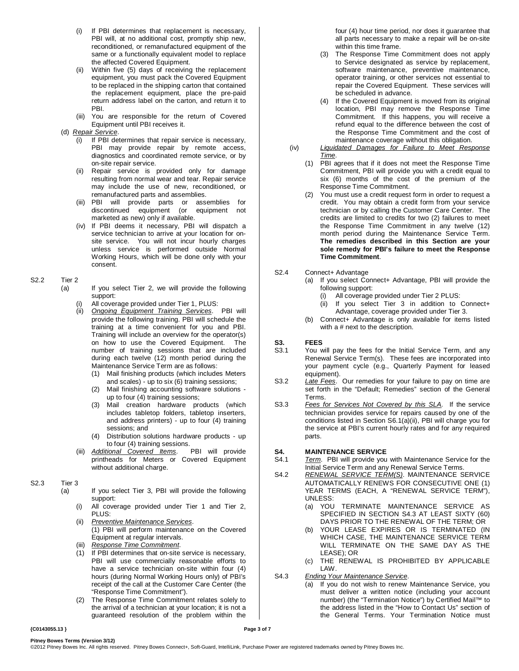- (i) If PBI determines that replacement is necessary, PBI will, at no additional cost, promptly ship new, reconditioned, or remanufactured equipment of the same or a functionally equivalent model to replace the affected Covered Equipment.
- (ii) Within five (5) days of receiving the replacement equipment, you must pack the Covered Equipment to be replaced in the shipping carton that contained the replacement equipment, place the pre-paid return address label on the carton, and return it to PBI.
- (iii) You are responsible for the return of Covered Equipment until PBI receives it.

### (d) *Repair Service*.

- (i) If PBI determines that repair service is necessary, PBI may provide repair by remote access, diagnostics and coordinated remote service, or by on-site repair service.
- (ii) Repair service is provided only for damage resulting from normal wear and tear. Repair service may include the use of new, reconditioned, or remanufactured parts and assemblies.
- (iii) PBI will provide parts or assemblies for discontinued equipment (or marketed as new) only if available.
- (iv) If PBI deems it necessary, PBI will dispatch a service technician to arrive at your location for onsite service. You will not incur hourly charges unless service is performed outside Normal Working Hours, which will be done only with your consent.

### S2.2 Tier 2

- (a) If you select Tier 2, we will provide the following support:
	- (i) All coverage provided under Tier 1, PLUS:<br>(ii) Ongoing Faujnment Training Services
	- **Ongoing Equipment Training Services.** PBI will provide the following training. PBI will schedule the training at a time convenient for you and PBI. Training will include an overview for the operator(s) on how to use the Covered Equipment. The number of training sessions that are included during each twelve (12) month period during the Maintenance Service Term are as follows:
		- (1) Mail finishing products (which includes Meters and scales) - up to six (6) training sessions;
		- (2) Mail finishing accounting software solutions up to four (4) training sessions;
		- (3) Mail creation hardware products (which includes tabletop folders, tabletop inserters, and address printers) - up to four (4) training sessions; and
		- (4) Distribution solutions hardware products up to four (4) training sessions.<br>tional Covered Items. PBI will provide
	- (iii) **Additional Covered Items.** printheads for Meters or Covered Equipment without additional charge.

### S2.3 Tier 3

(a) If you select Tier 3, PBI will provide the following support:

- (i) All coverage provided under Tier 1 and Tier 2, PLUS:
- (ii) *Preventive Maintenance Services*. (1) PBI will perform maintenance on the Covered Equipment at regular intervals.
- (iii) *Response Time Commitment*.
- (1) If PBI determines that on-site service is necessary, PBI will use commercially reasonable efforts to have a service technician on-site within four (4) hours (during Normal Working Hours only) of PBI's receipt of the call at the Customer Care Center (the "Response Time Commitment").
- (2) The Response Time Commitment relates solely to the arrival of a technician at your location; it is not a guaranteed resolution of the problem within the

four (4) hour time period, nor does it guarantee that all parts necessary to make a repair will be on-site within this time frame.

- (3) The Response Time Commitment does not apply to Service designated as service by replacement, software maintenance, preventive maintenance, operator training, or other services not essential to repair the Covered Equipment. These services will be scheduled in advance.
- (4) If the Covered Equipment is moved from its original location, PBI may remove the Response Time Commitment. If this happens, you will receive a refund equal to the difference between the cost of the Response Time Commitment and the cost of maintenance coverage without this obligation.
- (iv) *Liquidated Damages for Failure to Meet Response Time*.
	- (1) PBI agrees that if it does not meet the Response Time Commitment, PBI will provide you with a credit equal to six (6) months of the cost of the premium of the Response Time Commitment.
	- You must use a credit request form in order to request a credit. You may obtain a credit form from your service technician or by calling the Customer Care Center. The credits are limited to credits for two (2) failures to meet the Response Time Commitment in any twelve (12) month period during the Maintenance Service Term. **The remedies described in this Section are your sole remedy for PBI's failure to meet the Response Time Commitment**.

### S2.4 Connect+ Advantage

- (a) If you select Connect+ Advantage, PBI will provide the following support:
	- (i) All coverage provided under Tier 2 PLUS:
	- (ii) If you select Tier 3 in addition to Connect+ Advantage, coverage provided under Tier 3.
	- (b) Connect+ Advantage is only available for items listed with a # next to the description.

### **S3. FEES**

- S3.1 You will pay the fees for the Initial Service Term, and any Renewal Service Term(s). These fees are incorporated into your payment cycle (e.g., Quarterly Payment for leased equipment).
- S3.2 *Late Fees*. Our remedies for your failure to pay on time are set forth in the "Default; Remedies" section of the General Terms.
- S3.3 *Fees for Services Not Covered by this SLA.* If the service technician provides service for repairs caused by one of the conditions listed in Section S6.1(a)(ii), PBI will charge you for the service at PBI's current hourly rates and for any required parts.

### **S4. MAINTENANCE SERVICE**<br>S4.1 Term. PBI will provide you

- Term. PBI will provide you with Maintenance Service for the Initial Service Term and any Renewal Service Terms.
- S4.2 RENEWAL SERVICE TERM(S). MAINTENANCE SERVICE AUTOMATICALLY RENEWS FOR CONSECUTIVE ONE (1) YEAR TERMS (EACH, A "RENEWAL SERVICE TERM"), UNLESS:
	- (a) YOU TERMINATE MAINTENANCE SERVICE AS SPECIFIED IN SECTION S4.3 AT LEAST SIXTY (60) DAYS PRIOR TO THE RENEWAL OF THE TERM; OR
	- (b) YOUR LEASE EXPIRES OR IS TERMINATED (IN WHICH CASE, THE MAINTENANCE SERVICE TERM WILL TERMINATE ON THE SAME DAY AS THE LEASE); OR
	- (c) THE RENEWAL IS PROHIBITED BY APPLICABLE LAW.
- S4.3 *Ending Your Maintenance Service*.
	- (a) If you do not wish to renew Maintenance Service, you must deliver a written notice (including your account number) (the "Termination Notice") by Certified Mail™ to the address listed in the "How to Contact Us" section of the General Terms. Your Termination Notice must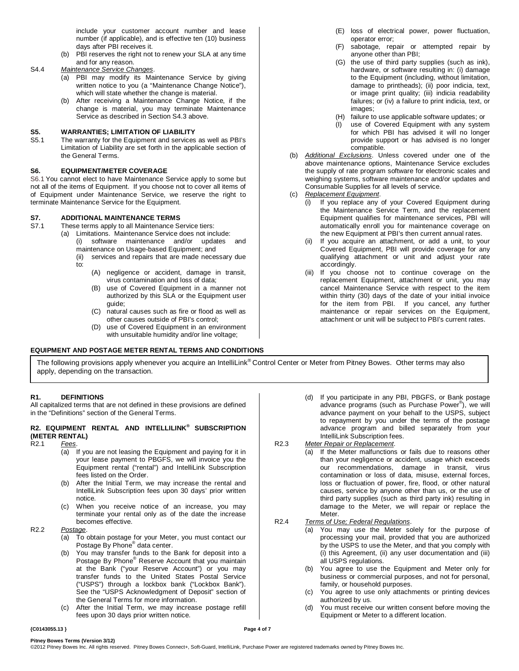include your customer account number and lease number (if applicable), and is effective ten (10) business days after PBI receives it.

- (b) PBI reserves the right not to renew your SLA at any time and for any reason.
- S4.4 *Maintenance Service Changes*.
	- (a) PBI may modify its Maintenance Service by giving written notice to you (a "Maintenance Change Notice"), which will state whether the change is material.
	- (b) After receiving a Maintenance Change Notice, if the change is material, you may terminate Maintenance Service as described in Section S4.3 above.

### **S5. WARRANTIES; LIMITATION OF LIABILITY**

The warranty for the Equipment and services as well as PBI's Limitation of Liability are set forth in the applicable section of the General Terms.

### **S6. EQUIPMENT/METER COVERAGE**

S6.1 You cannot elect to have Maintenance Service apply to some but not all of the items of Equipment. If you choose not to cover all items of of Equipment under Maintenance Service, we reserve the right to terminate Maintenance Service for the Equipment.

### **S7. ADDITIONAL MAINTENANCE TERMS**

These terms apply to all Maintenance Service tiers:

- (a) Limitations. Maintenance Service does not include:
	- (i) software maintenance and/or updates and maintenance on Usage-based Equipment; and
	- (ii) services and repairs that are made necessary due to:
		- (A) negligence or accident, damage in transit, virus contamination and loss of data;
		- (B) use of Covered Equipment in a manner not authorized by this SLA or the Equipment user guide;
		- (C) natural causes such as fire or flood as well as other causes outside of PBI's control;
		- (D) use of Covered Equipment in an environment with unsuitable humidity and/or line voltage;

### **EQUIPMENT AND POSTAGE METER RENTAL TERMS AND CONDITIONS**

- (E) loss of electrical power, power fluctuation, operator error;
- (F) sabotage, repair or attempted repair by anyone other than PBI;
- (G) the use of third party supplies (such as ink), hardware, or software resulting in: (i) damage to the Equipment (including, without limitation, damage to printheads); (ii) poor indicia, text, or image print quality; (iii) indicia readability failures; or (iv) a failure to print indicia, text, or images;
- (H) failure to use applicable software updates; or
- (I) use of Covered Equipment with any system for which PBI has advised it will no longer provide support or has advised is no longer compatible.
- (b) *Additional Exclusions*. Unless covered under one of the above maintenance options, Maintenance Service excludes the supply of rate program software for electronic scales and weighing systems, software maintenance and/or updates and Consumable Supplies for all levels of service.
- (c) *Replacement Equipment*.
	- (i) If you replace any of your Covered Equipment during the Maintenance Service Term, and the replacement Equipment qualifies for maintenance services, PBI will automatically enroll you for maintenance coverage on the new Equipment at PBI's then current annual rates.
	- (ii) If you acquire an attachment, or add a unit, to your Covered Equipment, PBI will provide coverage for any qualifying attachment or unit and adjust your rate accordingly.
	- (iii) If you choose not to continue coverage on the replacement Equipment, attachment or unit, you may cancel Maintenance Service with respect to the item within thirty (30) days of the date of your initial invoice for the item from PBI. If you cancel, any further maintenance or repair services on the Equipment, attachment or unit will be subject to PBI's current rates.

The following provisions apply whenever you acquire an IntelliLink® Control Center or Meter from Pitney Bowes. Other terms may also apply, depending on the transaction.

### **R1. DEFINITIONS**

All capitalized terms that are not defined in these provisions are defined in the "Definitions" section of the General Terms.

### **R2. EQUIPMENT RENTAL AND INTELLILINK® SUBSCRIPTION (METER RENTAL)**<br>R2.1 *Fees.*

R2.1 *Fees*.

- (a) If you are not leasing the Equipment and paying for it in your lease payment to PBGFS, we will invoice you the Equipment rental ("rental") and IntelliLink Subscription fees listed on the Order.
- (b) After the Initial Term, we may increase the rental and IntelliLink Subscription fees upon 30 days' prior written notice.
- (c) When you receive notice of an increase, you may terminate your rental only as of the date the increase becomes effective.

R2.2 *Postage*.

- (a) To obtain postage for your Meter, you must contact our Postage By Phone® data center.
- (b) You may transfer funds to the Bank for deposit into a Postage By Phone® Reserve Account that you maintain at the Bank ("your Reserve Account") or you may transfer funds to the United States Postal Service ("USPS") through a lockbox bank ("Lockbox Bank"). See the "USPS Acknowledgment of Deposit" section of the General Terms for more information.
- (c) After the Initial Term, we may increase postage refill fees upon 30 days prior written notice.
- (d) If you participate in any PBI, PBGFS, or Bank postage advance programs (such as Purchase Power® ), we will advance payment on your behalf to the USPS, subject to repayment by you under the terms of the postage advance program and billed separately from your IntelliLink Subscription fees.
- R2.3 *Meter Repair or Replacement*.
	- (a) If the Meter malfunctions or fails due to reasons other than your negligence or accident, usage which exceeds our recommendations, damage in transit, virus contamination or loss of data, misuse, external forces, loss or fluctuation of power, fire, flood, or other natural causes, service by anyone other than us, or the use of third party supplies (such as third party ink) resulting in damage to the Meter, we will repair or replace the Meter.
- R2.4 *Terms of Use; Federal Regulations*.
	- (a) You may use the Meter solely for the purpose of processing your mail, provided that you are authorized by the USPS to use the Meter, and that you comply with (i) this Agreement, (ii) any user documentation and (iii) all USPS regulations.
	- (b) You agree to use the Equipment and Meter only for business or commercial purposes, and not for personal, family, or household purposes.
	- (c) You agree to use only attachments or printing devices authorized by us.
	- (d) You must receive our written consent before moving the Equipment or Meter to a different location.

**{C0143055.13 } Page 4 of 7**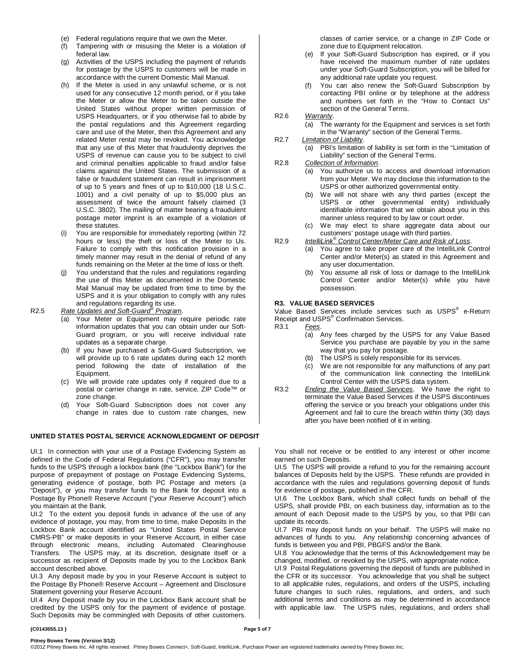- (e) Federal regulations require that we own the Meter.
- (f) Tampering with or misusing the Meter is a violation of federal law.
- (g) Activities of the USPS including the payment of refunds for postage by the USPS to customers will be made in accordance with the current Domestic Mail Manual.
- (h) If the Meter is used in any unlawful scheme, or is not used for any consecutive 12 month period, or if you take the Meter or allow the Meter to be taken outside the United States without proper written permission of USPS Headquarters, or if you otherwise fail to abide by the postal regulations and this Agreement regarding care and use of the Meter, then this Agreement and any related Meter rental may be revoked. You acknowledge that any use of this Meter that fraudulently deprives the USPS of revenue can cause you to be subject to civil and criminal penalties applicable to fraud and/or false claims against the United States. The submission of a false or fraudulent statement can result in imprisonment of up to 5 years and fines of up to \$10,000 (18 U.S.C. 1001) and a civil penalty of up to \$5,000 plus an assessment of twice the amount falsely claimed (3 U.S.C. 3802). The mailing of matter bearing a fraudulent postage meter imprint is an example of a violation of these statutes.
- (i) You are responsible for immediately reporting (within 72 hours or less) the theft or loss of the Meter to Us. Failure to comply with this notification provision in a timely manner may result in the denial of refund of any funds remaining on the Meter at the time of loss or theft.
- You understand that the rules and regulations regarding the use of this Meter as documented in the Domestic Mail Manual may be updated from time to time by the USPS and it is your obligation to comply with any rules and regulations regarding its use.

R2.5 *Rate Updates and Soft-Guard® Program*.

- (a) Your Meter or Equipment may require periodic rate information updates that you can obtain under our Soft-Guard program, or you will receive individual rate updates as a separate charge.
- (b) If you have purchased a Soft-Guard Subscription, we will provide up to 6 rate updates during each 12 month period following the date of installation of the Equipment.
- (c) We will provide rate updates only if required due to a postal or carrier change in rate, service, ZIP Code™ or zone change.
- (d) Your Soft-Guard Subscription does not cover any change in rates due to custom rate changes, new

#### **UNITED STATES POSTAL SERVICE ACKNOWLEDGMENT OF DEPOSIT**

UI.1 In connection with your use of a Postage Evidencing System as defined in the Code of Federal Regulations ("CFR"), you may transfer funds to the USPS through a lockbox bank (the "Lockbox Bank") for the purpose of prepayment of postage on Postage Evidencing Systems, generating evidence of postage, both PC Postage and meters (a "Deposit"), or you may transfer funds to the Bank for deposit into a Postage By Phone® Reserve Account ("your Reserve Account") which you maintain at the Bank.

UI.2 To the extent you deposit funds in advance of the use of any evidence of postage, you may, from time to time, make Deposits in the Lockbox Bank account identified as "United States Postal Service CMRS-PB" or make deposits in your Reserve Account, in either case through electronic means, including Automated Clearinghouse Transfers. The USPS may, at its discretion, designate itself or a successor as recipient of Deposits made by you to the Lockbox Bank account described above.

UI.3 Any deposit made by you in your Reserve Account is subject to the Postage By Phone® Reserve Account – Agreement and Disclosure Statement governing your Reserve Account.

UI.4 Any Deposit made by you in the Lockbox Bank account shall be credited by the USPS only for the payment of evidence of postage. Such Deposits may be commingled with Deposits of other customers. classes of carrier service, or a change in ZIP Code or zone due to Equipment relocation.

- (e) If your Soft-Guard Subscription has expired, or if you have received the maximum number of rate updates under your Soft-Guard Subscription, you will be billed for any additional rate update you request.
- (f) You can also renew the Soft-Guard Subscription by contacting PBI online or by telephone at the address and numbers set forth in the "How to Contact Us" section of the General Terms.

R2.6 *Warranty*.

- (a) The warranty for the Equipment and services is set forth in the "Warranty" section of the General Terms.
- R2.7 *Limitation of Liability*. (a) PBI's limitation of liability is set forth in the "Limitation of Liability" section of the General Terms.

#### R2.8 *Collection of Information*.

- (a) You authorize us to access and download information from your Meter. We may disclose this information to the USPS or other authorized governmental entity.
- (b) We will not share with any third parties (except the USPS or other governmental entity) individually identifiable information that we obtain about you in this manner unless required to by law or court order.
- (c) We may elect to share aggregate data about our customers' postage usage with third parties.
- R2.9 *IntelliLink® Control Center/Meter Care and Risk of Loss*.
	- (a) You agree to take proper care of the IntelliLink Control Center and/or Meter(s) as stated in this Agreement and any user documentation.
	- (b) You assume all risk of loss or damage to the IntelliLink Control Center and/or Meter(s) while you have possession.

### **R3. VALUE BASED SERVICES**

Value Based Services include services such as USPS® e-Return Receipt and USPS<sup>®</sup> Confirmation Services.<br>R3.1 Fees. Fees.

- (a) Any fees charged by the USPS for any Value Based Service you purchase are payable by you in the same way that you pay for postage.
- (b) The USPS is solely responsible for its services.
- (c) We are not responsible for any malfunctions of any part of the communication link connecting the IntelliLink Control Center with the USPS data system.
- R3.2 *Ending the Value Based Services*. We have the right to **Entitled Services** if the USPS discontinues offering the service or you breach your obligations under this Agreement and fail to cure the breach within thirty (30) days after you have been notified of it in writing.

You shall not receive or be entitled to any interest or other income earned on such Deposits.

UI.5 The USPS will provide a refund to you for the remaining account balances of Deposits held by the USPS. These refunds are provided in accordance with the rules and regulations governing deposit of funds for evidence of postage, published in the CFR.

UI.6 The Lockbox Bank, which shall collect funds on behalf of the USPS, shall provide PBI, on each business day, information as to the amount of each Deposit made to the USPS by you, so that PBI can update its records.

UI.7 PBI may deposit funds on your behalf. The USPS will make no advances of funds to you. Any relationship concerning advances of funds is between you and PBI, PBGFS and/or the Bank.

UI.8 You acknowledge that the terms of this Acknowledgement may be changed, modified, or revoked by the USPS, with appropriate notice.

UI.9 Postal Regulations governing the deposit of funds are published in the CFR or its successor. You acknowledge that you shall be subject to all applicable rules, regulations, and orders of the USPS, including future changes to such rules, regulations, and orders, and such additional terms and conditions as may be determined in accordance with applicable law. The USPS rules, regulations, and orders shall

#### **{C0143055.13 } Page 5 of 7**

**Pitney Bowes Terms (Version 3/12)**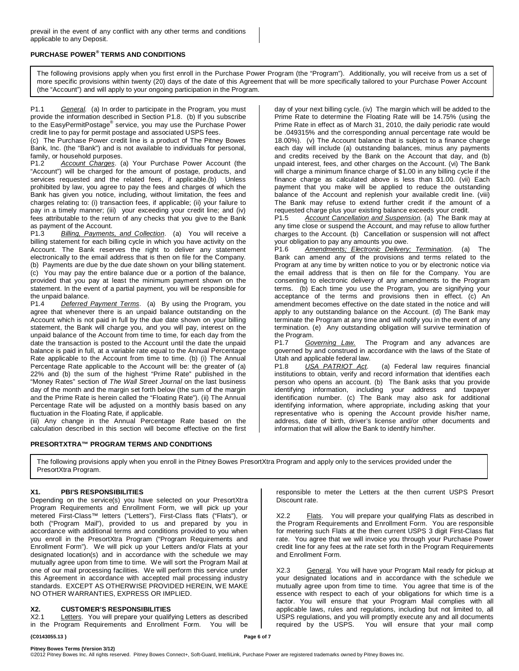### **PURCHASE POWER® TERMS AND CONDITIONS**

The following provisions apply when you first enroll in the Purchase Power Program (the "Program"). Additionally, you will receive from us a set of more specific provisions within twenty (20) days of the date of this Agreement that will be more specifically tailored to your Purchase Power Account (the "Account") and will apply to your ongoing participation in the Program.

P1.1 *General.* (a) In order to participate in the Program, you must provide the information described in Section P1.8. (b) If you subscribe to the EasyPermitPostage® service, you may use the Purchase Power credit line to pay for permit postage and associated USPS fees.

(c) The Purchase Power credit line is a product of The Pitney Bowes Bank, Inc. (the "Bank") and is not available to individuals for personal, family, or household purposes.<br>P1.2 Account Charges. (

Account Charges. (a) Your Purchase Power Account (the "Account") will be charged for the amount of postage, products, and services requested and the related fees, if applicable.(b) Unless prohibited by law, you agree to pay the fees and charges of which the Bank has given you notice, including, without limitation, the fees and charges relating to: (i) transaction fees, if applicable; (ii) your failure to pay in a timely manner; (iii) your exceeding your credit line; and (iv) fees attributable to the return of any checks that you give to the Bank

as payment of the Account.<br>P1.3 Billing, Payments Billing, Payments, and Collection. (a) You will receive a billing statement for each billing cycle in which you have activity on the Account. The Bank reserves the right to deliver any statement electronically to the email address that is then on file for the Company. (b) Payments are due by the due date shown on your billing statement. (c) You may pay the entire balance due or a portion of the balance, provided that you pay at least the minimum payment shown on the statement. In the event of a partial payment, you will be responsible for

the unpaid balance.<br>P1.4 Deferred Deferred Payment Terms. (a) By using the Program, you agree that whenever there is an unpaid balance outstanding on the Account which is not paid in full by the due date shown on your billing statement, the Bank will charge you, and you will pay, interest on the unpaid balance of the Account from time to time, for each day from the date the transaction is posted to the Account until the date the unpaid balance is paid in full, at a variable rate equal to the Annual Percentage Rate applicable to the Account from time to time. (b) (i) The Annual Percentage Rate applicable to the Account will be: the greater of (a) 22% and (b) the sum of the highest "Prime Rate" published in the "Money Rates" section of *The Wall Street Journal* on the last business day of the month and the margin set forth below (the sum of the margin and the Prime Rate is herein called the "Floating Rate"). (ii) The Annual Percentage Rate will be adjusted on a monthly basis based on any fluctuation in the Floating Rate, if applicable.

(iii) Any change in the Annual Percentage Rate based on the calculation described in this section will become effective on the first

### **PRESORTXTRA™ PROGRAM TERMS AND CONDITIONS**

day of your next billing cycle. (iv) The margin which will be added to the Prime Rate to determine the Floating Rate will be 14.75% (using the Prime Rate in effect as of March 31, 2010, the daily periodic rate would be .049315% and the corresponding annual percentage rate would be 18.00%). (v) The Account balance that is subject to a finance charge each day will include (a) outstanding balances, minus any payments and credits received by the Bank on the Account that day, and (b) unpaid interest, fees, and other charges on the Account. (vi) The Bank will charge a minimum finance charge of \$1.00 in any billing cycle if the finance charge as calculated above is less than \$1.00. (vii) Each payment that you make will be applied to reduce the outstanding balance of the Account and replenish your available credit line. (viii) The Bank may refuse to extend further credit if the amount of a

requested charge plus your existing balance exceeds your credit.<br>P1.5 Account Cancellation and Suspension. (a) The Bank i Account Cancellation and Suspension. (a) The Bank may at any time close or suspend the Account, and may refuse to allow further charges to the Account. (b) Cancellation or suspension will not affect your obligation to pay any amounts you owe.<br>P1.6 Amendments; Electronic Delivery

Amendments; Electronic Delivery; Termination. (a) The Bank can amend any of the provisions and terms related to the Program at any time by written notice to you or by electronic notice via the email address that is then on file for the Company. You are consenting to electronic delivery of any amendments to the Program terms. (b) Each time you use the Program, you are signifying your acceptance of the terms and provisions then in effect. (c) An amendment becomes effective on the date stated in the notice and will apply to any outstanding balance on the Account. (d) The Bank may terminate the Program at any time and will notify you in the event of any termination. (e) Any outstanding obligation will survive termination of the Program.<br>P1.7 Go

Governing Law. The Program and any advances are governed by and construed in accordance with the laws of the State of Utah and applicable federal law.

P1.8 *USA PATRIOT Act*. (a) Federal law requires financial institutions to obtain, verify and record information that identifies each person who opens an account. (b) The Bank asks that you provide identifying information, including your address and taxpayer identification number. (c) The Bank may also ask for additional identifying information, where appropriate, including asking that your representative who is opening the Account provide his/her name, address, date of birth, driver's license and/or other documents and information that will allow the Bank to identify him/her.

The following provisions apply when you enroll in the Pitney Bowes PresortXtra Program and apply only to the services provided under the PresortXtra Program.

### **X1. PBI'S RESPONSIBILITIES**

Depending on the service(s) you have selected on your PresortXtra Program Requirements and Enrollment Form, we will pick up your metered First-Class™ letters ("Letters"), First-Class flats ("Flats"), or both ("Program Mail"), provided to us and prepared by you in accordance with additional terms and conditions provided to you when you enroll in the PresortXtra Program ("Program Requirements and Enrollment Form"). We will pick up your Letters and/or Flats at your designated location(s) and in accordance with the schedule we may mutually agree upon from time to time. We will sort the Program Mail at one of our mail processing facilities. We will perform this service under this Agreement in accordance with accepted mail processing industry standards. EXCEPT AS OTHERWISE PROVIDED HEREIN, WE MAKE NO OTHER WARRANTIES, EXPRESS OR IMPLIED.

### **X2. CUSTOMER'S RESPONSIBILITIES**

Letters. You will prepare your qualifying Letters as described in the Program Requirements and Enrollment Form. You will be

responsible to meter the Letters at the then current USPS Presort Discount rate.

X2.2 Flats. You will prepare your qualifying Flats as described in the Program Requirements and Enrollment Form. You are responsible for metering such Flats at the then current USPS 3 digit First-Class flat rate. You agree that we will invoice you through your Purchase Power credit line for any fees at the rate set forth in the Program Requirements and Enrollment Form.

X2.3 General. You will have your Program Mail ready for pickup at your designated locations and in accordance with the schedule we mutually agree upon from time to time. You agree that time is of the essence with respect to each of your obligations for which time is a factor. You will ensure that your Program Mail complies with all applicable laws, rules and regulations, including but not limited to, all USPS regulations, and you will promptly execute any and all documents required by the USPS. You will ensure that your mail comp

### **{C0143055.13 } Page 6 of 7**